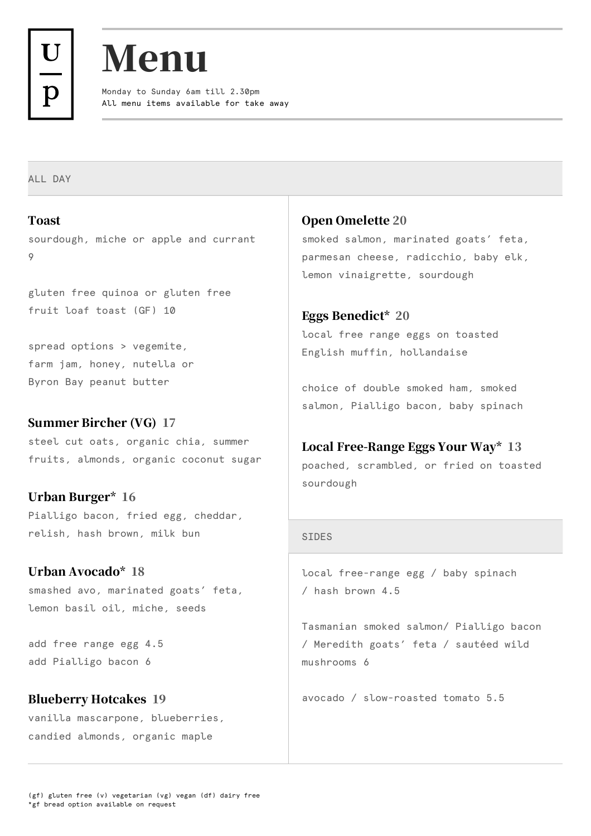



All menu items available for take away Monday to Sunday 6am till 2.30pm

ALL DAY

Toast sourdough, miche or apple and currant 9

gluten free quinoa or gluten free fruit loaf toast (GF) 10

spread options > vegemite, farm jam, honey, nutella or Byron Bay peanut butter

#### Summer Bircher (VG) 17

steel cut oats, organic chia, summer fruits, almonds, organic coconut sugar

Urban Burger\* 16 Pialligo bacon, fried egg, cheddar, relish, hash brown, milk bun

#### Urban Avocado\* 18

smashed avo, marinated goats' feta, lemon basil oil, miche, seeds

add free range egg 4.5 add Pialligo bacon 6

# Blueberry Hotcakes 19

vanilla mascarpone, blueberries, candied almonds, organic maple

Open Omelette 20 smoked salmon, marinated goats' feta, parmesan cheese, radicchio, baby elk, lemon vinaigrette, sourdough

Eggs Benedict\* 20 local free range eggs on toasted English muffin, hollandaise

choice of double smoked ham, smoked salmon, Pialligo bacon, baby spinach

#### Local Free-Range Eggs Your Way\* 13

poached, scrambled, or fried on toasted sourdough

#### SIDES

local free-range egg / baby spinach / hash brown 4.5

Tasmanian smoked salmon/ Pialligo bacon / Meredith goats' feta / sautéed wild mushrooms 6

avocado / slow-roasted tomato 5.5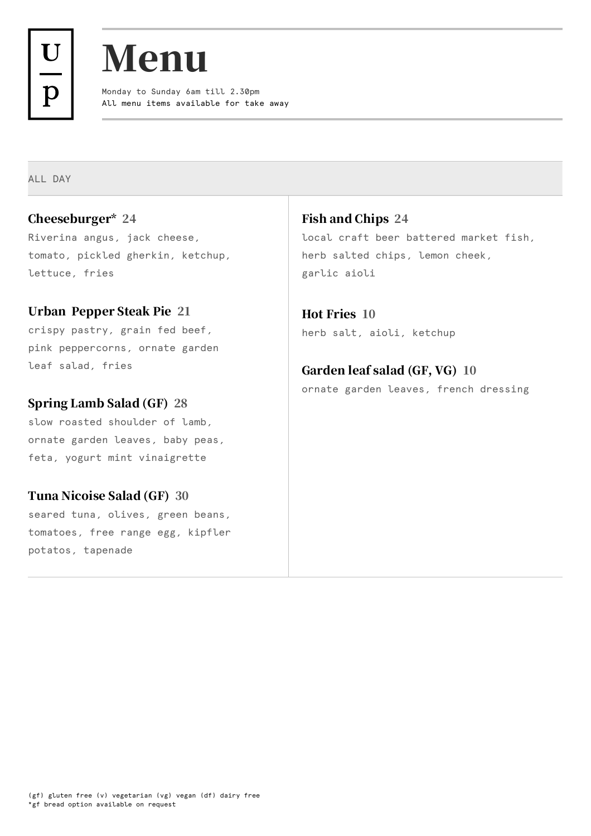



All menu items available for take away Monday to Sunday 6am till 2.30pm

ALL DAY

# Cheeseburger\* 24

Riverina angus, jack cheese, tomato, pickled gherkin, ketchup, lettuce, fries

# Urban Pepper Steak Pie 21

crispy pastry, grain fed beef, pink peppercorns, ornate garden leaf salad, fries

#### Spring Lamb Salad (GF) 28

slow roasted shoulder of lamb, ornate garden leaves, baby peas, feta, yogurt mint vinaigrette

# Tuna Nicoise Salad (GF) 30

seared tuna, olives, green beans, tomatoes, free range egg, kipfler potatos, tapenade

Fish and Chips 24 local craft beer battered market fish, herb salted chips, lemon cheek, garlic aioli

Hot Fries 10 herb salt, aioli, ketchup

# Garden leaf salad (GF, VG) 10

ornate garden leaves, french dressing